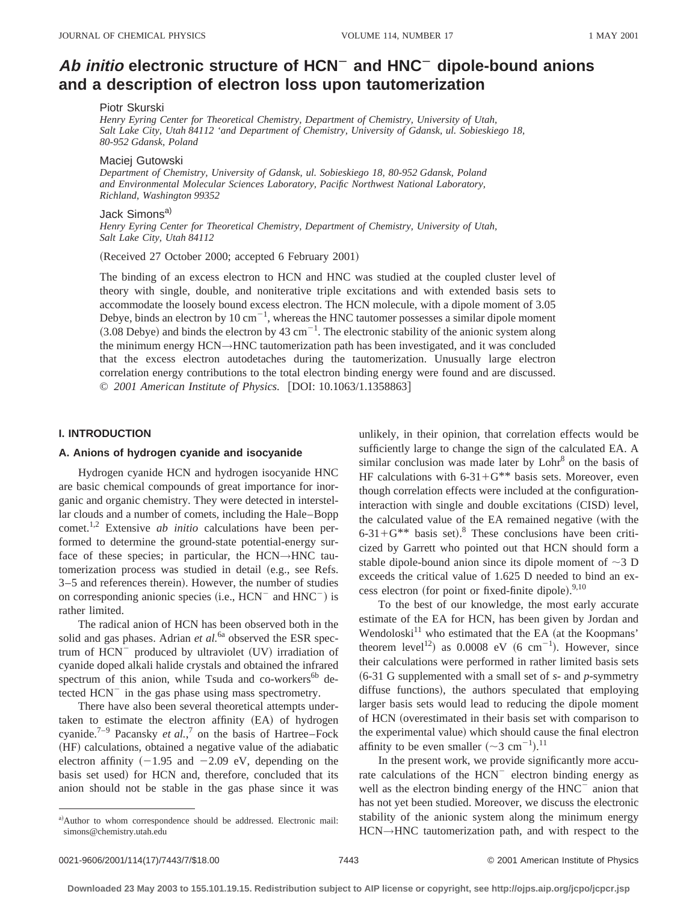# Ab *initio* electronic structure of HCN<sup>-</sup> and HNC<sup>-</sup> dipole-bound anions **and a description of electron loss upon tautomerization**

# Piotr Skurski

*Henry Eyring Center for Theoretical Chemistry, Department of Chemistry, University of Utah, Salt Lake City, Utah 84112 'and Department of Chemistry, University of Gdansk, ul. Sobieskiego 18, 80-952 Gdansk, Poland*

#### Maciej Gutowski

*Department of Chemistry, University of Gdansk, ul. Sobieskiego 18, 80-952 Gdansk, Poland and Environmental Molecular Sciences Laboratory, Pacific Northwest National Laboratory, Richland, Washington 99352*

# Jack Simons<sup>a)</sup>

*Henry Eyring Center for Theoretical Chemistry, Department of Chemistry, University of Utah, Salt Lake City, Utah 84112*

(Received 27 October 2000; accepted 6 February 2001)

The binding of an excess electron to HCN and HNC was studied at the coupled cluster level of theory with single, double, and noniterative triple excitations and with extended basis sets to accommodate the loosely bound excess electron. The HCN molecule, with a dipole moment of 3.05 Debye, binds an electron by 10 cm<sup> $-1$ </sup>, whereas the HNC tautomer possesses a similar dipole moment  $(3.08$  Debye) and binds the electron by 43 cm<sup>-1</sup>. The electronic stability of the anionic system along the minimum energy HCN→HNC tautomerization path has been investigated, and it was concluded that the excess electron autodetaches during the tautomerization. Unusually large electron correlation energy contributions to the total electron binding energy were found and are discussed. © 2001 American Institute of Physics. [DOI: 10.1063/1.1358863]

# **I. INTRODUCTION**

## **A. Anions of hydrogen cyanide and isocyanide**

Hydrogen cyanide HCN and hydrogen isocyanide HNC are basic chemical compounds of great importance for inorganic and organic chemistry. They were detected in interstellar clouds and a number of comets, including the Hale–Bopp comet.1,2 Extensive *ab initio* calculations have been performed to determine the ground-state potential-energy surface of these species; in particular, the HCN→HNC tautomerization process was studied in detail (e.g., see Refs. 3–5 and references therein). However, the number of studies on corresponding anionic species  $(i.e., HCN<sup>-</sup>$  and  $HNC<sup>-</sup>$ ) is rather limited.

The radical anion of HCN has been observed both in the solid and gas phases. Adrian *et al.*<sup>6a</sup> observed the ESR spectrum of  $HCN^-$  produced by ultraviolet  $(UV)$  irradiation of cyanide doped alkali halide crystals and obtained the infrared spectrum of this anion, while Tsuda and co-workers<sup>6b</sup> detected  $HCN^-$  in the gas phase using mass spectrometry.

There have also been several theoretical attempts undertaken to estimate the electron affinity (EA) of hydrogen cyanide.<sup>7–9</sup> Pacansky *et al.*,<sup>7</sup> on the basis of Hartree–Fock (HF) calculations, obtained a negative value of the adiabatic electron affinity  $(-1.95 \text{ and } -2.09 \text{ eV})$ , depending on the basis set used) for HCN and, therefore, concluded that its anion should not be stable in the gas phase since it was unlikely, in their opinion, that correlation effects would be sufficiently large to change the sign of the calculated EA. A similar conclusion was made later by  $Lohr<sup>8</sup>$  on the basis of HF calculations with  $6-31+G^{**}$  basis sets. Moreover, even though correlation effects were included at the configurationinteraction with single and double excitations (CISD) level, the calculated value of the EA remained negative (with the  $6-31+G^{**}$  basis set).<sup>8</sup> These conclusions have been criticized by Garrett who pointed out that HCN should form a stable dipole-bound anion since its dipole moment of  $\sim$ 3 D exceeds the critical value of 1.625 D needed to bind an excess electron (for point or fixed-finite dipole). $9,10$ 

To the best of our knowledge, the most early accurate estimate of the EA for HCN, has been given by Jordan and Wendoloski $11$  who estimated that the EA (at the Koopmans' theorem level<sup>12</sup>) as 0.0008 eV (6 cm<sup>-1</sup>). However, since their calculations were performed in rather limited basis sets ~6-31 G supplemented with a small set of *s*- and *p*-symmetry diffuse functions), the authors speculated that employing larger basis sets would lead to reducing the dipole moment of HCN (overestimated in their basis set with comparison to the experimental value) which should cause the final electron affinity to be even smaller  $({\sim}3 \text{ cm}^{-1})$ .<sup>11</sup>

In the present work, we provide significantly more accurate calculations of the  $HCN$ <sup>-</sup> electron binding energy as well as the electron binding energy of the HNC<sup>-</sup> anion that has not yet been studied. Moreover, we discuss the electronic stability of the anionic system along the minimum energy HCN→HNC tautomerization path, and with respect to the

a)Author to whom correspondence should be addressed. Electronic mail: simons@chemistry.utah.edu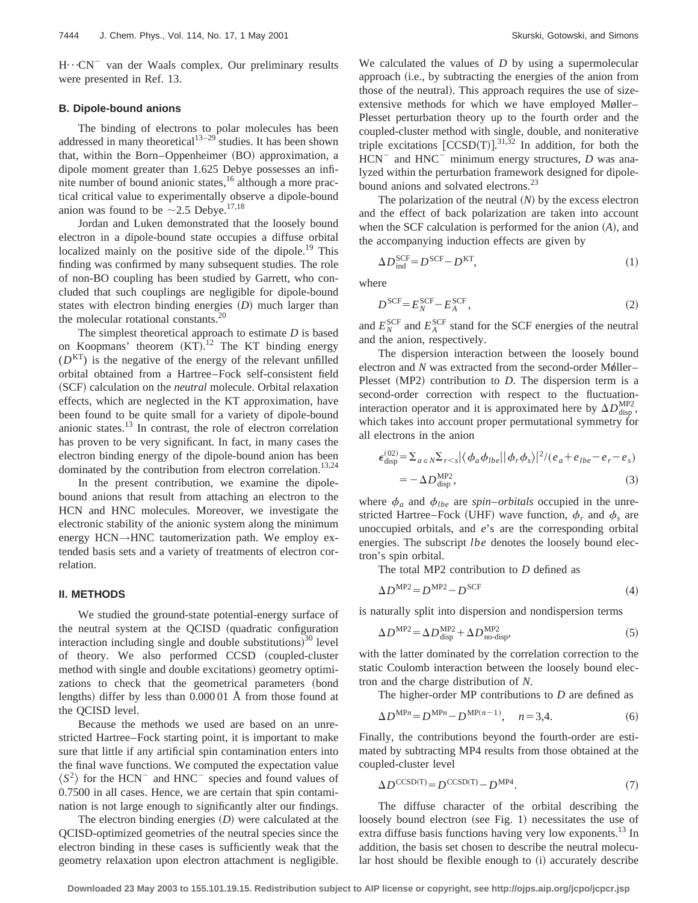$H \cdot C$ N<sup>-</sup> van der Waals complex. Our preliminary results were presented in Ref. 13.

#### **B. Dipole-bound anions**

The binding of electrons to polar molecules has been addressed in many theoretical<sup>13–29</sup> studies. It has been shown that, within the Born–Oppenheimer (BO) approximation, a dipole moment greater than 1.625 Debye possesses an infinite number of bound anionic states,<sup>16</sup> although a more practical critical value to experimentally observe a dipole-bound anion was found to be  $\sim$  2.5 Debye.<sup>17,18</sup>

Jordan and Luken demonstrated that the loosely bound electron in a dipole-bound state occupies a diffuse orbital localized mainly on the positive side of the dipole.<sup>19</sup> This finding was confirmed by many subsequent studies. The role of non-BO coupling has been studied by Garrett, who concluded that such couplings are negligible for dipole-bound states with electron binding energies  $(D)$  much larger than the molecular rotational constants.20

The simplest theoretical approach to estimate *D* is based on Koopmans' theorem  $(KT).<sup>12</sup>$  The KT binding energy  $(D<sup>KT</sup>)$  is the negative of the energy of the relevant unfilled orbital obtained from a Hartree–Fock self-consistent field (SCF) calculation on the *neutral* molecule. Orbital relaxation effects, which are neglected in the KT approximation, have been found to be quite small for a variety of dipole-bound anionic states.13 In contrast, the role of electron correlation has proven to be very significant. In fact, in many cases the electron binding energy of the dipole-bound anion has been dominated by the contribution from electron correlation.<sup>13,24</sup>

In the present contribution, we examine the dipolebound anions that result from attaching an electron to the HCN and HNC molecules. Moreover, we investigate the electronic stability of the anionic system along the minimum energy HCN→HNC tautomerization path. We employ extended basis sets and a variety of treatments of electron correlation.

#### **II. METHODS**

We studied the ground-state potential-energy surface of the neutral system at the OCISD (quadratic configuration interaction including single and double substitutions) $30$  level of theory. We also performed CCSD (coupled-cluster method with single and double excitations) geometry optimizations to check that the geometrical parameters (bond lengths) differ by less than  $0.00001$  Å from those found at the QCISD level.

Because the methods we used are based on an unrestricted Hartree–Fock starting point, it is important to make sure that little if any artificial spin contamination enters into the final wave functions. We computed the expectation value  $\langle S^2 \rangle$  for the HCN<sup>-</sup> and HNC<sup>-</sup> species and found values of 0.7500 in all cases. Hence, we are certain that spin contamination is not large enough to significantly alter our findings.

The electron binding energies  $(D)$  were calculated at the QCISD-optimized geometries of the neutral species since the electron binding in these cases is sufficiently weak that the geometry relaxation upon electron attachment is negligible. We calculated the values of *D* by using a supermolecular approach (i.e., by subtracting the energies of the anion from those of the neutral). This approach requires the use of sizeextensive methods for which we have employed Møller– Plesset perturbation theory up to the fourth order and the coupled-cluster method with single, double, and noniterative triple excitations  $[CCSD(T)]^{31,32}$  In addition, for both the  $HCN$ <sup>-</sup> and  $HNC$ <sup>-</sup> minimum energy structures, *D* was analyzed within the perturbation framework designed for dipolebound anions and solvated electrons.<sup>23</sup>

The polarization of the neutral  $(N)$  by the excess electron and the effect of back polarization are taken into account when the SCF calculation is performed for the anion  $(A)$ , and the accompanying induction effects are given by

$$
\Delta D_{\text{ind}}^{\text{SCF}} = D^{\text{SCF}} - D^{\text{KT}},\tag{1}
$$

where

$$
D^{\text{SCF}} = E_N^{\text{SCF}} - E_A^{\text{SCF}},\tag{2}
$$

and  $E_N^{\text{SCF}}$  and  $E_A^{\text{SCF}}$  stand for the SCF energies of the neutral and the anion, respectively.

The dispersion interaction between the loosely bound electron and *N* was extracted from the second-order Møller– Plesset (MP2) contribution to *D*. The dispersion term is a second-order correction with respect to the fluctuationinteraction operator and it is approximated here by  $\Delta D_{\text{disp}}^{\text{MP2}}$ , which takes into account proper permutational symmetry for all electrons in the anion

$$
\epsilon_{\text{disp}}^{(02)} = \sum_{a \in N} \sum_{r < s} \left| \left\langle \phi_a \phi_{lbe} \right| |\phi_r \phi_s \rangle \right|^2 / (e_a + e_{lbe} - e_r - e_s)
$$
\n
$$
= -\Delta D_{\text{disp}}^{\text{MP2}},\tag{3}
$$

where  $\phi_a$  and  $\phi_{lbe}$  are *spin–orbitals* occupied in the unrestricted Hartree–Fock (UHF) wave function,  $\phi_r$  and  $\phi_s$  are unoccupied orbitals, and *e*'s are the corresponding orbital energies. The subscript *lbe* denotes the loosely bound electron's spin orbital.

The total MP2 contribution to *D* defined as

$$
\Delta D^{\text{MP2}} = D^{\text{MP2}} - D^{\text{SCF}} \tag{4}
$$

is naturally split into dispersion and nondispersion terms

$$
\Delta D^{\text{MP2}} = \Delta D_{\text{disp}}^{\text{MP2}} + \Delta D_{\text{no-disp}}^{\text{MP2}},\tag{5}
$$

with the latter dominated by the correlation correction to the static Coulomb interaction between the loosely bound electron and the charge distribution of *N*.

The higher-order MP contributions to *D* are defined as

$$
\Delta D^{\text{MP}n} = D^{\text{MP}n} - D^{\text{MP}(n-1)}, \quad n = 3, 4. \tag{6}
$$

Finally, the contributions beyond the fourth-order are estimated by subtracting MP4 results from those obtained at the coupled-cluster level

$$
\Delta D^{\text{CCSD(T)}} = D^{\text{CCSD(T)}} - D^{\text{MP4}}.\tag{7}
$$

The diffuse character of the orbital describing the loosely bound electron (see Fig. 1) necessitates the use of extra diffuse basis functions having very low exponents.<sup>13</sup> In addition, the basis set chosen to describe the neutral molecular host should be flexible enough to (i) accurately describe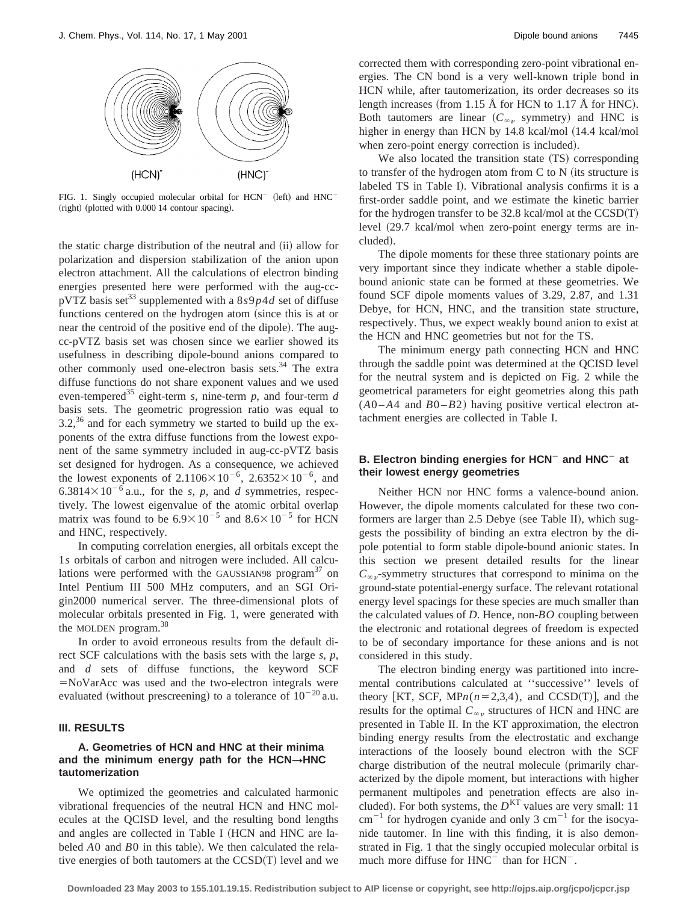

FIG. 1. Singly occupied molecular orbital for  $HCN^-$  (left) and  $HNC^-$ (right) (plotted with 0.000 14 contour spacing).

the static charge distribution of the neutral and (ii) allow for polarization and dispersion stabilization of the anion upon electron attachment. All the calculations of electron binding energies presented here were performed with the aug-ccpVTZ basis set<sup>33</sup> supplemented with a  $8s9p4d$  set of diffuse functions centered on the hydrogen atom (since this is at or near the centroid of the positive end of the dipole). The augcc-pVTZ basis set was chosen since we earlier showed its usefulness in describing dipole-bound anions compared to other commonly used one-electron basis sets.<sup>34</sup> The extra diffuse functions do not share exponent values and we used even-tempered<sup>35</sup> eight-term *s*, nine-term *p*, and four-term *d* basis sets. The geometric progression ratio was equal to  $3.2<sup>36</sup>$  and for each symmetry we started to build up the exponents of the extra diffuse functions from the lowest exponent of the same symmetry included in aug-cc-pVTZ basis set designed for hydrogen. As a consequence, we achieved the lowest exponents of  $2.1106\times10^{-6}$ ,  $2.6352\times10^{-6}$ , and 6.3814 $\times$ 10<sup>-6</sup> a.u., for the *s*, *p*, and *d* symmetries, respectively. The lowest eigenvalue of the atomic orbital overlap matrix was found to be  $6.9 \times 10^{-5}$  and  $8.6 \times 10^{-5}$  for HCN and HNC, respectively.

In computing correlation energies, all orbitals except the 1*s* orbitals of carbon and nitrogen were included. All calculations were performed with the GAUSSIAN98 program $37$  on Intel Pentium III 500 MHz computers, and an SGI Origin2000 numerical server. The three-dimensional plots of molecular orbitals presented in Fig. 1, were generated with the MOLDEN program.<sup>38</sup>

In order to avoid erroneous results from the default direct SCF calculations with the basis sets with the large *s*, *p*, and *d* sets of diffuse functions, the keyword SCF  $=NoVarAcc$  was used and the two-electron integrals were evaluated (without prescreening) to a tolerance of  $10^{-20}$  a.u.

#### **III. RESULTS**

## **A. Geometries of HCN and HNC at their minima** and the minimum energy path for the  $HCN \rightarrow HNC$ **tautomerization**

We optimized the geometries and calculated harmonic vibrational frequencies of the neutral HCN and HNC molecules at the QCISD level, and the resulting bond lengths and angles are collected in Table I (HCN and HNC are labeled *A*0 and *B*0 in this table). We then calculated the relative energies of both tautomers at the  $CCSD(T)$  level and we corrected them with corresponding zero-point vibrational energies. The CN bond is a very well-known triple bond in HCN while, after tautomerization, its order decreases so its length increases (from 1.15 Å for HCN to 1.17 Å for HNC). Both tautomers are linear  $(C_{\infty}$  symmetry) and HNC is higher in energy than HCN by 14.8 kcal/mol (14.4 kcal/mol when zero-point energy correction is included).

We also located the transition state (TS) corresponding to transfer of the hydrogen atom from  $C$  to  $N$  (its structure is labeled TS in Table I). Vibrational analysis confirms it is a first-order saddle point, and we estimate the kinetic barrier for the hydrogen transfer to be  $32.8 \text{ kcal/mol}$  at the  $CCSD(T)$ level  $(29.7 \text{ kcal/mol}$  when zero-point energy terms are included).

The dipole moments for these three stationary points are very important since they indicate whether a stable dipolebound anionic state can be formed at these geometries. We found SCF dipole moments values of 3.29, 2.87, and 1.31 Debye, for HCN, HNC, and the transition state structure, respectively. Thus, we expect weakly bound anion to exist at the HCN and HNC geometries but not for the TS.

The minimum energy path connecting HCN and HNC through the saddle point was determined at the QCISD level for the neutral system and is depicted on Fig. 2 while the geometrical parameters for eight geometries along this path  $(A0 - A4$  and  $B0 - B2)$  having positive vertical electron attachment energies are collected in Table I.

# **B.** Electron binding energies for HCN<sup>-</sup> and HNC<sup>-</sup> at **their lowest energy geometries**

Neither HCN nor HNC forms a valence-bound anion. However, the dipole moments calculated for these two conformers are larger than  $2.5$  Debye (see Table II), which suggests the possibility of binding an extra electron by the dipole potential to form stable dipole-bound anionic states. In this section we present detailed results for the linear  $C_{\infty}$ -symmetry structures that correspond to minima on the ground-state potential-energy surface. The relevant rotational energy level spacings for these species are much smaller than the calculated values of *D*. Hence, non-*BO* coupling between the electronic and rotational degrees of freedom is expected to be of secondary importance for these anions and is not considered in this study.

The electron binding energy was partitioned into incremental contributions calculated at ''successive'' levels of theory [KT, SCF,  $MPn(n=2,3,4)$ , and CCSD(T)], and the results for the optimal  $C_{\infty}$  structures of HCN and HNC are presented in Table II. In the KT approximation, the electron binding energy results from the electrostatic and exchange interactions of the loosely bound electron with the SCF charge distribution of the neutral molecule (primarily characterized by the dipole moment, but interactions with higher permanent multipoles and penetration effects are also included). For both systems, the  $D<sup>KT</sup>$  values are very small: 11  $cm^{-1}$  for hydrogen cyanide and only 3  $cm^{-1}$  for the isocyanide tautomer. In line with this finding, it is also demonstrated in Fig. 1 that the singly occupied molecular orbital is much more diffuse for  $HNC^-$  than for  $HCN^-$ .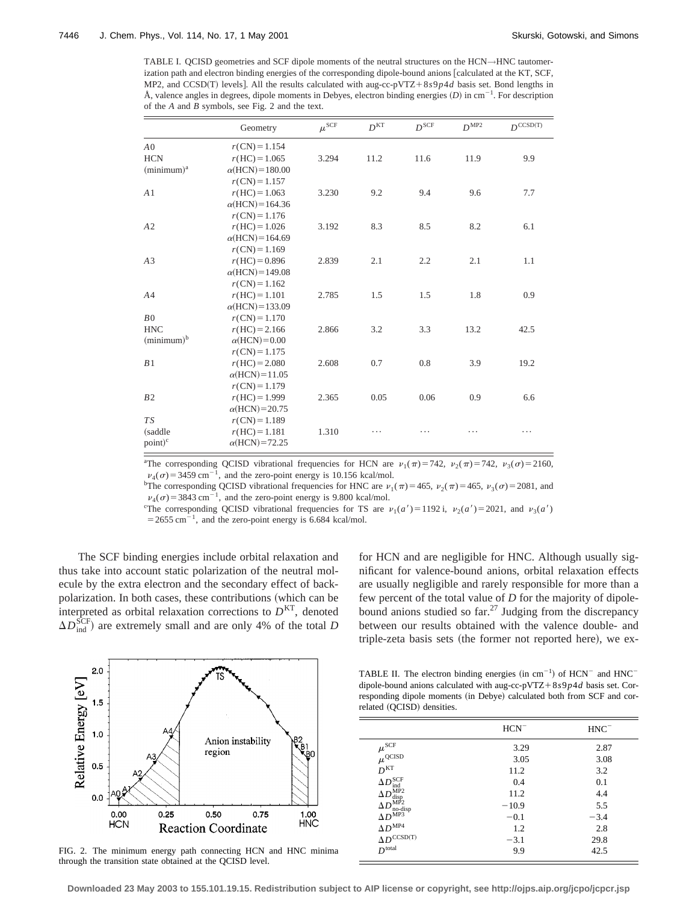TABLE I. QCISD geometries and SCF dipole moments of the neutral structures on the HCN→HNC tautomerization path and electron binding energies of the corresponding dipole-bound anions [calculated at the KT, SCF, MP2, and CCSD(T) levels]. All the results calculated with aug-cc-pVTZ+8 $s9p4d$  basis set. Bond lengths in Å, valence angles in degrees, dipole moments in Debyes, electron binding energies  $(D)$  in cm<sup>-1</sup>. For description of the *A* and *B* symbols, see Fig. 2 and the text.

|                | Geometry                | $\mu^{\rm SCF}$ | D <sup>KT</sup> | $D^{\rm SCF}$ | $D^{\text{MP2}}$ | $D^{\text{CCSD(T)}}$ |
|----------------|-------------------------|-----------------|-----------------|---------------|------------------|----------------------|
| A <sub>0</sub> | $r(CN) = 1.154$         |                 |                 |               |                  |                      |
| <b>HCN</b>     | $r(HC) = 1.065$         | 3.294           | 11.2            | 11.6          | 11.9             | 9.9                  |
| $(minimum)^a$  | $\alpha$ (HCN) = 180.00 |                 |                 |               |                  |                      |
|                | $r(CN) = 1.157$         |                 |                 |               |                  |                      |
| A <sub>1</sub> | $r(HC) = 1.063$         | 3.230           | 9.2             | 9.4           | 9.6              | 7.7                  |
|                | $\alpha$ (HCN) = 164.36 |                 |                 |               |                  |                      |
|                | $r(CN) = 1.176$         |                 |                 |               |                  |                      |
| A2             | $r(HC) = 1.026$         | 3.192           | 8.3             | 8.5           | 8.2              | 6.1                  |
|                | $\alpha$ (HCN) = 164.69 |                 |                 |               |                  |                      |
|                | $r(CN) = 1.169$         |                 |                 |               |                  |                      |
| A <sub>3</sub> | $r(HC) = 0.896$         | 2.839           | 2.1             | 2.2           | 2.1              | 1.1                  |
|                | $\alpha$ (HCN) = 149.08 |                 |                 |               |                  |                      |
|                | $r(CN) = 1.162$         |                 |                 |               |                  |                      |
| A <sub>4</sub> | $r(HC) = 1.101$         | 2.785           | 1.5             | 1.5           | 1.8              | 0.9                  |
|                | $\alpha$ (HCN) = 133.09 |                 |                 |               |                  |                      |
| B <sub>0</sub> | $r(CN) = 1.170$         |                 |                 |               |                  |                      |
| <b>HNC</b>     | $r(HC) = 2.166$         | 2.866           | 3.2             | 3.3           | 13.2             | 42.5                 |
| $(minimum)^b$  | $\alpha$ (HCN)=0.00     |                 |                 |               |                  |                      |
|                | $r(CN) = 1.175$         |                 |                 |               |                  |                      |
| B1             | $r(HC) = 2.080$         | 2.608           | 0.7             | 0.8           | 3.9              | 19.2                 |
|                | $\alpha$ (HCN) = 11.05  |                 |                 |               |                  |                      |
|                | $r(CN) = 1.179$         |                 |                 |               |                  |                      |
| B2             | $r(HC) = 1.999$         | 2.365           | 0.05            | 0.06          | 0.9              | 6.6                  |
|                | $\alpha$ (HCN) = 20.75  |                 |                 |               |                  |                      |
| <b>TS</b>      | $r(CN) = 1.189$         |                 |                 |               |                  |                      |
| (saddle        | $r(HC) = 1.181$         | 1.310           | .               | .             | .                | .                    |
| $point)^c$     | $\alpha$ (HCN)=72.25    |                 |                 |               |                  |                      |

<sup>a</sup>The corresponding QCISD vibrational frequencies for HCN are  $v_1(\pi) = 742$ ,  $v_2(\pi) = 742$ ,  $v_3(\sigma) = 2160$ ,  $v_4(\sigma)$  = 3459 cm<sup>-1</sup>, and the zero-point energy is 10.156 kcal/mol.

<sup>b</sup>The corresponding QCISD vibrational frequencies for HNC are  $v_1(\pi)=465$ ,  $v_2(\pi)=465$ ,  $v_3(\sigma)=2081$ , and  $v_4(\sigma) = 3843$  cm<sup>-1</sup>, and the zero-point energy is 9.800 kcal/mol.

<sup>c</sup>The corresponding QCISD vibrational frequencies for TS are  $v_1(a') = 1192$  i,  $v_2(a') = 2021$ , and  $v_3(a')$  $=$  2655 cm<sup>-1</sup>, and the zero-point energy is 6.684 kcal/mol.

The SCF binding energies include orbital relaxation and thus take into account static polarization of the neutral molecule by the extra electron and the secondary effect of backpolarization. In both cases, these contributions (which can be interpreted as orbital relaxation corrections to  $D<sup>KT</sup>$ , denoted  $\Delta D_{\text{ind}}^{\text{SCF}}$ ) are extremely small and are only 4% of the total *D* 



FIG. 2. The minimum energy path connecting HCN and HNC minima through the transition state obtained at the QCISD level.

for HCN and are negligible for HNC. Although usually significant for valence-bound anions, orbital relaxation effects are usually negligible and rarely responsible for more than a few percent of the total value of *D* for the majority of dipolebound anions studied so far.<sup>27</sup> Judging from the discrepancy between our results obtained with the valence double- and triple-zeta basis sets (the former not reported here), we ex-

TABLE II. The electron binding energies (in cm<sup>-1</sup>) of  $HCN^-$  and  $HNC^$ dipole-bound anions calculated with aug-cc-pVTZ+ $8s9p4d$  basis set. Corresponding dipole moments (in Debye) calculated both from SCF and correlated (QCISD) densities.

|                                       | $HCN^-$ | $HNC^-$ |
|---------------------------------------|---------|---------|
| $\mu^{\text{SCF}}$                    | 3.29    | 2.87    |
| $\mu^{\text{QCISD}}$                  | 3.05    | 3.08    |
| D <sup>KT</sup>                       | 11.2    | 3.2     |
| $\Delta D^{\rm SCF}$<br>ind           | 0.4     | 0.1     |
| MP <sub>2</sub><br>$\Delta D$<br>disp | 11.2    | 4.4     |
| MP2<br>$\Delta D$                     | $-10.9$ | 5.5     |
| $\Delta D^{\text{MPS}}$               | $-0.1$  | $-3.4$  |
| $\Delta D^{\rm MP4}$                  | 1.2     | 2.8     |
| $\Delta D^{\rm CCSD(T)}$              | $-3.1$  | 29.8    |
| $D^{\mathrm{total}}$                  | 9.9     | 42.5    |

**Downloaded 23 May 2003 to 155.101.19.15. Redistribution subject to AIP license or copyright, see http://ojps.aip.org/jcpo/jcpcr.jsp**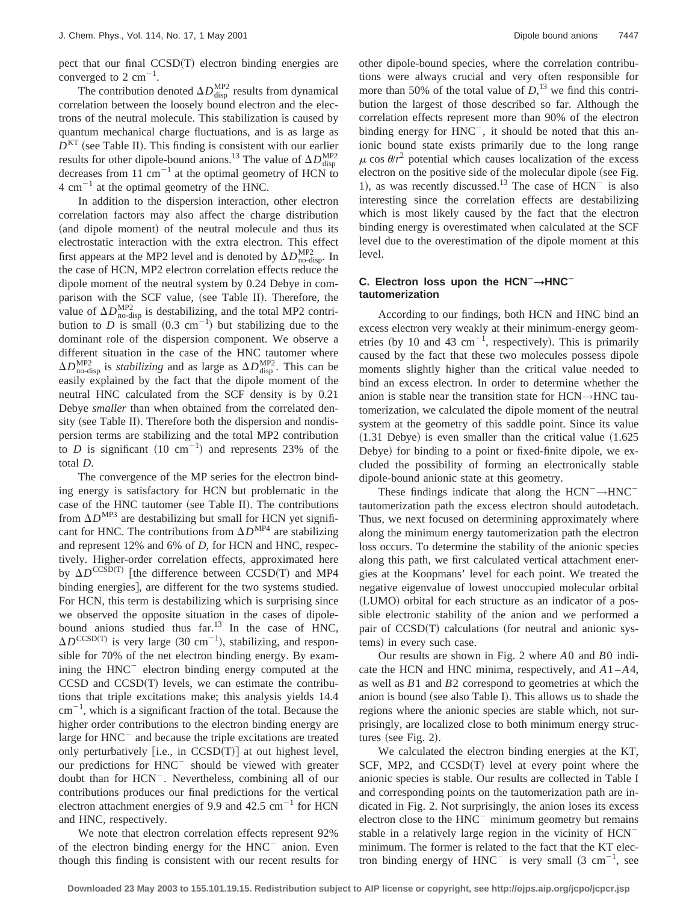pect that our final CCSD(T) electron binding energies are converged to 2  $\text{cm}^{-1}$ .

The contribution denoted  $\Delta D_{\text{disp}}^{\text{MP2}}$  results from dynamical correlation between the loosely bound electron and the electrons of the neutral molecule. This stabilization is caused by quantum mechanical charge fluctuations, and is as large as  $D<sup>KT</sup>$  (see Table II). This finding is consistent with our earlier results for other dipole-bound anions.<sup>13</sup> The value of  $\Delta D_{\text{disp}}^{\text{MP2}}$ decreases from  $11 \text{ cm}^{-1}$  at the optimal geometry of HCN to  $4 \text{ cm}^{-1}$  at the optimal geometry of the HNC.

In addition to the dispersion interaction, other electron correlation factors may also affect the charge distribution (and dipole moment) of the neutral molecule and thus its electrostatic interaction with the extra electron. This effect first appears at the MP2 level and is denoted by  $\Delta D_{\text{no-disp}}^{\text{MP2}}$ . In the case of HCN, MP2 electron correlation effects reduce the dipole moment of the neutral system by 0.24 Debye in comparison with the SCF value, (see Table II). Therefore, the value of  $\Delta D_{\text{no-disp}}^{\text{MP2}}$  is destabilizing, and the total MP2 contribution to *D* is small  $(0.3 \text{ cm}^{-1})$  but stabilizing due to the dominant role of the dispersion component. We observe a different situation in the case of the HNC tautomer where  $\Delta D_{\text{no-disp}}^{\text{MP2}}$  is *stabilizing* and as large as  $\Delta D_{\text{disp}}^{\text{MP2}}$ . This can be easily explained by the fact that the dipole moment of the neutral HNC calculated from the SCF density is by 0.21 Debye *smaller* than when obtained from the correlated density (see Table II). Therefore both the dispersion and nondispersion terms are stabilizing and the total MP2 contribution to *D* is significant  $(10 \text{ cm}^{-1})$  and represents 23% of the total *D*.

The convergence of the MP series for the electron binding energy is satisfactory for HCN but problematic in the case of the HNC tautomer (see Table II). The contributions from  $\Delta D^{MP3}$  are destabilizing but small for HCN yet significant for HNC. The contributions from  $\Delta D^{MP4}$  are stabilizing and represent 12% and 6% of *D*, for HCN and HNC, respectively. Higher-order correlation effects, approximated here by  $\Delta D^{\text{CCSD(T)}}$  [the difference between CCSD(T) and MP4 binding energies], are different for the two systems studied. For HCN, this term is destabilizing which is surprising since we observed the opposite situation in the cases of dipolebound anions studied thus  $far$ <sup>13</sup> In the case of HNC,  $\Delta D^{\text{CCSD(T)}}$  is very large (30 cm<sup>-1</sup>), stabilizing, and responsible for 70% of the net electron binding energy. By examining the  $HNC^-$  electron binding energy computed at the  $CCSD$  and  $CCSD(T)$  levels, we can estimate the contributions that triple excitations make; this analysis yields 14.4  $\text{cm}^{-1}$ , which is a significant fraction of the total. Because the higher order contributions to the electron binding energy are large for  $HNC^-$  and because the triple excitations are treated only perturbatively  $[i.e., in CCSD(T)]$  at out highest level, our predictions for HNC<sup>-</sup> should be viewed with greater doubt than for HCN<sup>-</sup>. Nevertheless, combining all of our contributions produces our final predictions for the vertical electron attachment energies of 9.9 and 42.5  $\text{cm}^{-1}$  for HCN and HNC, respectively.

We note that electron correlation effects represent 92% of the electron binding energy for the  $HNC^-$  anion. Even though this finding is consistent with our recent results for other dipole-bound species, where the correlation contributions were always crucial and very often responsible for more than 50% of the total value of  $D<sub>1</sub><sup>13</sup>$  we find this contribution the largest of those described so far. Although the correlation effects represent more than 90% of the electron binding energy for  $HNC^-$ , it should be noted that this anionic bound state exists primarily due to the long range  $\mu$  cos  $\theta/r^2$  potential which causes localization of the excess electron on the positive side of the molecular dipole (see Fig. 1), as was recently discussed.<sup>13</sup> The case of  $\text{HCN}^-$  is also interesting since the correlation effects are destabilizing which is most likely caused by the fact that the electron binding energy is overestimated when calculated at the SCF level due to the overestimation of the dipole moment at this level.

# **C.** Electron loss upon the HCN<sup> $−$ </sup>→HNC<sup> $−$ </sup> **tautomerization**

According to our findings, both HCN and HNC bind an excess electron very weakly at their minimum-energy geometries (by 10 and 43  $cm^{-1}$ , respectively). This is primarily caused by the fact that these two molecules possess dipole moments slightly higher than the critical value needed to bind an excess electron. In order to determine whether the anion is stable near the transition state for HCN→HNC tautomerization, we calculated the dipole moment of the neutral system at the geometry of this saddle point. Since its value  $(1.31$  Debye) is even smaller than the critical value  $(1.625)$ Debye) for binding to a point or fixed-finite dipole, we excluded the possibility of forming an electronically stable dipole-bound anionic state at this geometry.

These findings indicate that along the  $HCN^- \rightarrow HNC^$ tautomerization path the excess electron should autodetach. Thus, we next focused on determining approximately where along the minimum energy tautomerization path the electron loss occurs. To determine the stability of the anionic species along this path, we first calculated vertical attachment energies at the Koopmans' level for each point. We treated the negative eigenvalue of lowest unoccupied molecular orbital (LUMO) orbital for each structure as an indicator of a possible electronic stability of the anion and we performed a pair of  $CCSD(T)$  calculations (for neutral and anionic systems) in every such case.

Our results are shown in Fig. 2 where *A*0 and *B*0 indicate the HCN and HNC minima, respectively, and *A*1 –*A*4, as well as *B*1 and *B*2 correspond to geometries at which the anion is bound (see also Table I). This allows us to shade the regions where the anionic species are stable which, not surprisingly, are localized close to both minimum energy structures (see Fig. 2).

We calculated the electron binding energies at the KT, SCF, MP2, and  $CCSD(T)$  level at every point where the anionic species is stable. Our results are collected in Table I and corresponding points on the tautomerization path are indicated in Fig. 2. Not surprisingly, the anion loses its excess electron close to the  $HNC^-$  minimum geometry but remains stable in a relatively large region in the vicinity of HCN<sup>-</sup> minimum. The former is related to the fact that the KT electron binding energy of  $HNC^{-}$  is very small  $(3 \text{ cm}^{-1}, \text{ see}$ 

**Downloaded 23 May 2003 to 155.101.19.15. Redistribution subject to AIP license or copyright, see http://ojps.aip.org/jcpo/jcpcr.jsp**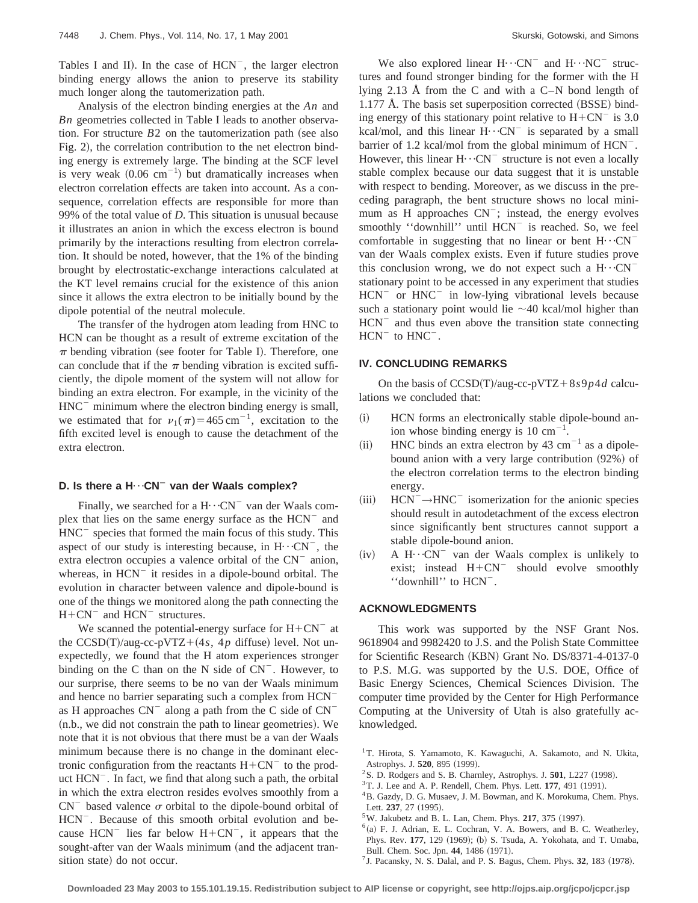Tables I and II). In the case of  $HCN^-$ , the larger electron binding energy allows the anion to preserve its stability much longer along the tautomerization path.

Analysis of the electron binding energies at the *An* and *Bn* geometries collected in Table I leads to another observation. For structure  $B2$  on the tautomerization path (see also Fig. 2), the correlation contribution to the net electron binding energy is extremely large. The binding at the SCF level is very weak  $(0.06 \text{ cm}^{-1})$  but dramatically increases when electron correlation effects are taken into account. As a consequence, correlation effects are responsible for more than 99% of the total value of *D*. This situation is unusual because it illustrates an anion in which the excess electron is bound primarily by the interactions resulting from electron correlation. It should be noted, however, that the 1% of the binding brought by electrostatic-exchange interactions calculated at the KT level remains crucial for the existence of this anion since it allows the extra electron to be initially bound by the dipole potential of the neutral molecule.

The transfer of the hydrogen atom leading from HNC to HCN can be thought as a result of extreme excitation of the  $\pi$  bending vibration (see footer for Table I). Therefore, one can conclude that if the  $\pi$  bending vibration is excited sufficiently, the dipole moment of the system will not allow for binding an extra electron. For example, in the vicinity of the  $HNC^-$  minimum where the electron binding energy is small, we estimated that for  $v_1(\pi)=465 \text{ cm}^{-1}$ , excitation to the fifth excited level is enough to cause the detachment of the extra electron.

#### **D.** Is there a H⋯CN<sup> $−$ </sup> van der Waals complex?

Finally, we searched for a  $H \cdot \cdot CN^{-}$  van der Waals complex that lies on the same energy surface as the  $HCN^{-}$  and  $HNC^-$  species that formed the main focus of this study. This aspect of our study is interesting because, in  $H \cdot \cdot CN^{-}$ , the extra electron occupies a valence orbital of the  $CN^-$  anion, whereas, in  $HCN^{-}$  it resides in a dipole-bound orbital. The evolution in character between valence and dipole-bound is one of the things we monitored along the path connecting the  $H+CN^{-}$  and  $HCN^{-}$  structures.

We scanned the potential-energy surface for  $H+CN^{-}$  at the  $CCSD(T)/aug-cc-pVTZ+(4s, 4p \text{ diffuse})$  level. Not unexpectedly, we found that the H atom experiences stronger binding on the C than on the N side of  $CN^-$ . However, to our surprise, there seems to be no van der Waals minimum and hence no barrier separating such a complex from HCN<sup>-</sup> as H approaches  $CN^{-}$  along a path from the C side of  $CN^{-}$  $(n.b.,$  we did not constrain the path to linear geometries). We note that it is not obvious that there must be a van der Waals minimum because there is no change in the dominant electronic configuration from the reactants  $H + CN^-$  to the product  $HCN$ <sup>-</sup>. In fact, we find that along such a path, the orbital in which the extra electron resides evolves smoothly from a  $CN^-$  based valence  $\sigma$  orbital to the dipole-bound orbital of HCN<sup>-</sup>. Because of this smooth orbital evolution and because  $HCN$ <sup>-</sup> lies far below  $H+CN$ <sup>-</sup>, it appears that the sought-after van der Waals minimum (and the adjacent transition state) do not occur.

We also explored linear  $H \cdot \cdot CN^{-}$  and  $H \cdot \cdot NC^{-}$  structures and found stronger binding for the former with the H lying 2.13 Å from the C and with a C–N bond length of  $1.177$  Å. The basis set superposition corrected  $(BSSE)$  binding energy of this stationary point relative to  $H + CN^-$  is 3.0 kcal/mol, and this linear  $H \cdot C N$ <sup>-</sup> is separated by a small barrier of 1.2 kcal/mol from the global minimum of  $HCN^{-}$ . However, this linear  $H \cdot C$ N<sup>-</sup> structure is not even a locally stable complex because our data suggest that it is unstable with respect to bending. Moreover, as we discuss in the preceding paragraph, the bent structure shows no local minimum as H approaches  $CN^-$ ; instead, the energy evolves smoothly "downhill" until HCN<sup>-</sup> is reached. So, we feel comfortable in suggesting that no linear or bent  $H \cdot \cdot \cdot CN$ van der Waals complex exists. Even if future studies prove this conclusion wrong, we do not expect such a  $H \cdots CN$ <sup>-</sup> stationary point to be accessed in any experiment that studies  $HCN^-$  or  $HNC^-$  in low-lying vibrational levels because such a stationary point would lie  $\sim$ 40 kcal/mol higher than  $HCN$ <sup>-</sup> and thus even above the transition state connecting  $HCN^-$  to  $HNC^-$ .

#### **IV. CONCLUDING REMARKS**

On the basis of  $CCSD(T)/aug-cc-pVTZ+8s9p4d$  calculations we concluded that:

- (i) HCN forms an electronically stable dipole-bound anion whose binding energy is  $10 \text{ cm}^{-1}$ .
- (ii) HNC binds an extra electron by 43  $cm^{-1}$  as a dipolebound anion with a very large contribution  $(92%)$  of the electron correlation terms to the electron binding energy.
- $(iii)$  HCN<sup>-</sup> $\rightarrow$ HNC<sup>-</sup> isomerization for the anionic species should result in autodetachment of the excess electron since significantly bent structures cannot support a stable dipole-bound anion.
- $(iv)$  A H $\cdot$  · CN<sup>-</sup> van der Waals complex is unlikely to exist; instead  $H + CN^-$  should evolve smoothly "downhill" to  $HCN^{-}$ .

## **ACKNOWLEDGMENTS**

This work was supported by the NSF Grant Nos. 9618904 and 9982420 to J.S. and the Polish State Committee for Scientific Research (KBN) Grant No. DS/8371-4-0137-0 to P.S. M.G. was supported by the U.S. DOE, Office of Basic Energy Sciences, Chemical Sciences Division. The computer time provided by the Center for High Performance Computing at the University of Utah is also gratefully acknowledged.

- $2$ S. D. Rodgers and S. B. Charnley, Astrophys. J.  $501$ , L227 (1998).
- $3$ T. J. Lee and A. P. Rendell, Chem. Phys. Lett. **177**, 491  $(1991)$ .
- 4B. Gazdy, D. G. Musaev, J. M. Bowman, and K. Morokuma, Chem. Phys. Lett.  $237, 27$   $(1995)$ .
- $5$ W. Jakubetz and B. L. Lan, Chem. Phys. 217, 375  $(1997)$ .
- $6$ (a) F. J. Adrian, E. L. Cochran, V. A. Bowers, and B. C. Weatherley, Phys. Rev. 177, 129 (1969); (b) S. Tsuda, A. Yokohata, and T. Umaba, Bull. Chem. Soc. Jpn. 44, 1486 (1971).
- $<sup>7</sup>$  J. Pacansky, N. S. Dalal, and P. S. Bagus, Chem. Phys. **32**, 183 (1978).</sup>

<sup>&</sup>lt;sup>1</sup>T. Hirota, S. Yamamoto, K. Kawaguchi, A. Sakamoto, and N. Ukita, Astrophys. J. 520, 895 (1999).